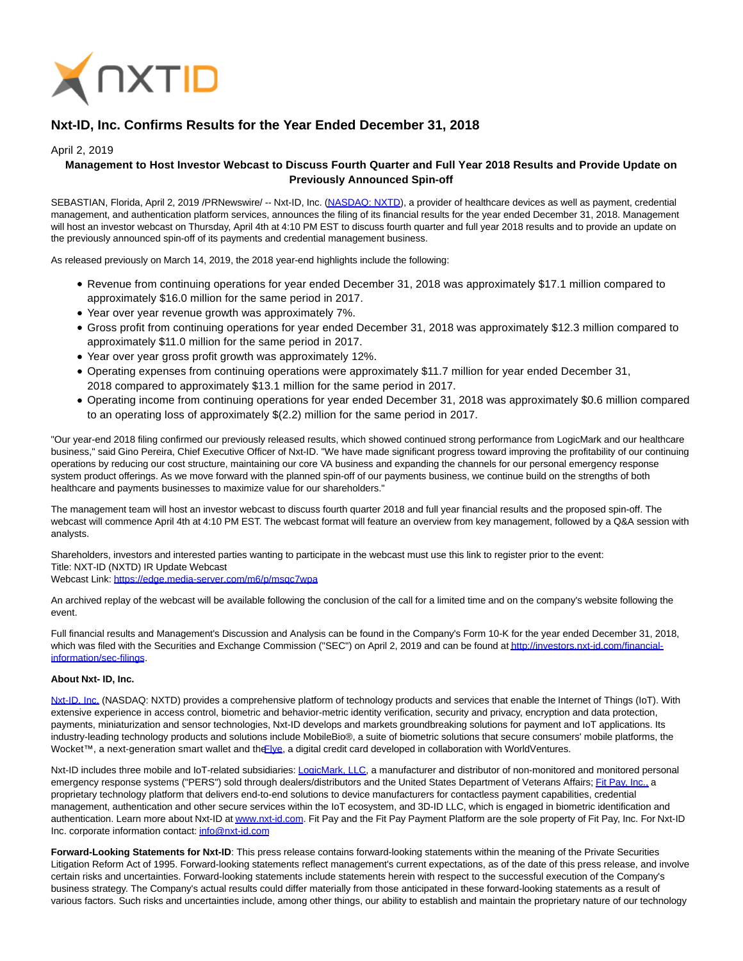

# **Nxt-ID, Inc. Confirms Results for the Year Ended December 31, 2018**

## April 2, 2019

# **Management to Host Investor Webcast to Discuss Fourth Quarter and Full Year 2018 Results and Provide Update on Previously Announced Spin-off**

SEBASTIAN, Florida, April 2, 2019 /PRNewswire/ -- Nxt-ID, Inc. [\(NASDAQ: NXTD\),](https://finance.yahoo.com/quote/NXTD?p=NXTD&.tsrc=fin-srch) a provider of healthcare devices as well as payment, credential management, and authentication platform services, announces the filing of its financial results for the year ended December 31, 2018. Management will host an investor webcast on Thursday, April 4th at 4:10 PM EST to discuss fourth quarter and full year 2018 results and to provide an update on the previously announced spin-off of its payments and credential management business.

As released previously on March 14, 2019, the 2018 year-end highlights include the following:

- Revenue from continuing operations for year ended December 31, 2018 was approximately \$17.1 million compared to approximately \$16.0 million for the same period in 2017.
- Year over year revenue growth was approximately 7%.
- Gross profit from continuing operations for year ended December 31, 2018 was approximately \$12.3 million compared to approximately \$11.0 million for the same period in 2017.
- Year over year gross profit growth was approximately 12%.
- Operating expenses from continuing operations were approximately \$11.7 million for year ended December 31, 2018 compared to approximately \$13.1 million for the same period in 2017.
- Operating income from continuing operations for year ended December 31, 2018 was approximately \$0.6 million compared to an operating loss of approximately \$(2.2) million for the same period in 2017.

"Our year-end 2018 filing confirmed our previously released results, which showed continued strong performance from LogicMark and our healthcare business," said Gino Pereira, Chief Executive Officer of Nxt-ID. "We have made significant progress toward improving the profitability of our continuing operations by reducing our cost structure, maintaining our core VA business and expanding the channels for our personal emergency response system product offerings. As we move forward with the planned spin-off of our payments business, we continue build on the strengths of both healthcare and payments businesses to maximize value for our shareholders."

The management team will host an investor webcast to discuss fourth quarter 2018 and full year financial results and the proposed spin-off. The webcast will commence April 4th at 4:10 PM EST. The webcast format will feature an overview from key management, followed by a Q&A session with analysts.

Shareholders, investors and interested parties wanting to participate in the webcast must use this link to register prior to the event: Title: NXT-ID (NXTD) IR Update Webcast

Webcast Link:<https://edge.media-server.com/m6/p/msqc7wpa>

An archived replay of the webcast will be available following the conclusion of the call for a limited time and on the company's website following the event.

Full financial results and Management's Discussion and Analysis can be found in the Company's Form 10-K for the year ended December 31, 2018, which was filed with the Securities and Exchange Commission ("SEC") on April 2, 2019 and can be found a[t http://investors.nxt-id.com/financial](http://investors.nxt-id.com/financial-information/sec-filings)information/sec-filings.

### **About Nxt- ID, Inc.**

[Nxt-ID, Inc. \(](http://www.nxt-id.com/)NASDAQ: NXTD) provides a comprehensive platform of technology products and services that enable the Internet of Things (IoT). With extensive experience in access control, biometric and behavior-metric identity verification, security and privacy, encryption and data protection, payments, miniaturization and sensor technologies, Nxt-ID develops and markets groundbreaking solutions for payment and IoT applications. Its industry-leading technology products and solutions include MobileBio®, a suite of biometric solutions that secure consumers' mobile platforms, the Wocket™, a next-generation smart wallet and th[e Flye,](https://www.flye.com/) a digital credit card developed in collaboration with WorldVentures.

Nxt-ID includes three mobile and IoT-related subsidiaries: [LogicMark, LLC,](https://www.logicmark.com/) a manufacturer and distributor of non-monitored and monitored personal emergency response systems ("PERS") sold through dealers/distributors and the United States Department of Veterans Affairs[; Fit Pay, Inc., a](http://www.fit-pay.com/) proprietary technology platform that delivers end-to-end solutions to device manufacturers for contactless payment capabilities, credential management, authentication and other secure services within the IoT ecosystem, and 3D-ID LLC, which is engaged in biometric identification and authentication. Learn more about Nxt-ID a[t www.nxt-id.com.](http://www.nxt-id.com/) Fit Pay and the Fit Pay Payment Platform are the sole property of Fit Pay, Inc. For Nxt-ID Inc. corporate information contact[: info@nxt-id.com](mailto:info@nxt-id.com)

**Forward-Looking Statements for Nxt-ID**: This press release contains forward-looking statements within the meaning of the Private Securities Litigation Reform Act of 1995. Forward-looking statements reflect management's current expectations, as of the date of this press release, and involve certain risks and uncertainties. Forward-looking statements include statements herein with respect to the successful execution of the Company's business strategy. The Company's actual results could differ materially from those anticipated in these forward-looking statements as a result of various factors. Such risks and uncertainties include, among other things, our ability to establish and maintain the proprietary nature of our technology